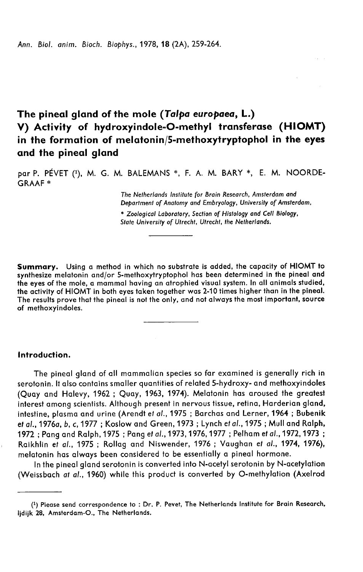# The pineal gland of the mole (Talpa europaea, L.) V) Activity of hydroxyindole-O-methyl transferase (HIOMT) in the formation of melatonin/5-methoxytryptophol in the eyes and the pineal gland

par P. PÉVET (1), M. G. M. BALEMANS \*, F. A. M. BARY \*, E. M. NOORDE-GRAAF

> The Netherlands Institute for Brain Research, Amsterdam and Department of Anatomy and Embryology, University of Amsterdam,

\* Zoological Laboratory, Section of Histology and Cell Biology, State University of Utrecht, Utrecht, the Netherlands.

Summary. Using a method in which no substrate is added, the capacity of HIOMT to synthesize melatonin and/or 5-methoxytryptophol has been determined in the pineal and the eyes of the mole, a mammal having an atrophied visual system. In all animals studied, the activity of HIOMT in both eyes taken together was 2-10 times higher than in the pineal. The results prove that the pineal is not the only, and not always the most important, source of methoxyindoles.

## Introduction.

The pineal gland of all mammalian species so far examined is generally rich in serotonin. It also contains smaller quantities of related 5-hydroxy- and methoxyindoles (Quay and Halevy, 1962 ; Quay, 1963, 1974). Melatonin has aroused the greatest interest among scientists. Although present in nervous tissue, retina, Harderian gland, intestine, plasma and urine (Arendt et al., 1975 ; Barchas and Lerner, 1964 ; Bubenik et al., 1976a, b, c, 1977 ; Koslow and Green, 1973 ; Lynch et al., 1975 ; Mull and Ralph, 1972 ; Pang and Ralph, 1975 ; Pang et al.,1973,1976,1977 ; Pelham et al.,1972,1973 ; Raikhlin et al., 1975 ; Rollag and Niswender, 1976 ; Vaughan et al., 1974, 1976), melatonin has always been considered to be essentially a pineal hormone.

In the pineal gland serotonin is converted into N-acetyl serotonin by N-acetylation (Weissbach at al., 1960) while this product is converted by O-methylation (Axelrod

<sup>(1)</sup> Please send correspondence to : Dr. P. Pevet, The Netherlands Institute for Brain Research, ljdijk 28, Amsterdam-O., The Netherlands.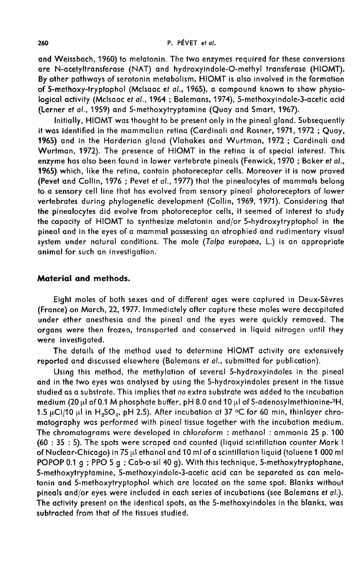and Weissbach, 1960) to melatonin. The two enzymes required for these conversions are N-acetyltransferase (NAT) and hydroxyindole-O-methyl transferase (HIOMT). By other pathways of serotonin metabolism, HIOMT is also involved in the formation of 5-methoxy-tryptophol (Mcisaac et al., 1965), a compound known to show physiological activity (Mclsaac et al., 1964 ; Balemans, 1974), 5-methoxyindole-3-acetic acid (Lerner et al., 1959) and 5-methoxytryptamine (Quay and Smart, 1967).

Initially, HIOMT was thought to be present only in the pineal gland. Subsequently it was identified in the mammalian retina (Cardinali and Rosner, 1971, 1972 ; Quay, 1965) and in the Harderian gland (Vlahakes and Wurtman, 1972 ; Cardinali and Wurtman, 1972). The presence of HIOMT in the retina is of special interest. This enzyme has also been found in lower vertebrate pineals (Fenwick, 1970 ; Baker et a/., 1965) which, like the retina, contain photoreceptor cells. Moreover it is now proved (Pevet and Collin, 1976 ; Pevet et al., 1977) that the pinealocytes of mammals belong to a sensory cell line that has evolved from sensory pineal photoreceptors of lower vertebrates during phylogenetic development (Collin, 1969, 1971). Considering that the pinealocytes did evolve from photoreceptor cells, it seemed of interest to study the capacity of HIOMT to synthesize melatonin and/or 5-hydroxytryptophol in the pineal and in the eyes of a mammal possessing an atrophied and rudimentary visual system under natural conditions. The mole (Talpa europaea, L.) is an appropriate animal for such an investigation.

### Material and methods.

Eight moles of both sexes and of different ages were captured in Deux-Sevres (France) on March, 22, 1977. Immediately after capture these moles were decapitated under ether anesthesia and the pineal and the eyes were quickly removed. The organs were then frozen, transported and conserved in liquid nitrogen until they were investigated.

The details of the method used to determine HIOMT activity are extensively reported and discussed elsewhere (Balemans et al., submitted for publication).

Using this method, the methylation of several 5-hydroxyindoles in the pineal and in the two eyes was analysed by using the 5-hydroxyindoles present in the tissue studied as a substrate. This implies that no extra substrate was added to the incubation meatum (20  $\mu$ ) or 0.1 M phosphate burter, pH 8.0 and 10  $\mu$ 1 of 3-daenosymmetrionine--H,<br>1.5  $\mu$ Ci/10  $\mu$ l in H<sub>2</sub>SO<sub>4</sub>, pH 2.5). After incubation at 37 °C for 60 min, thinlayer chroand in the two<br>studied as a su<br>medium (20 µl<br>1.5 uCi/10 µl i of 0.1 M phosphate buffer, pH 8.0 and 10  $\mu$ l re captured in Deux-Sèvres<br>nese moles were decapitated<br>vere quickly removed. The<br>n liquid nitrogen until they<br>MT activity are extensively<br>iitted for publication).<br>ydroxyindoles in the pineal<br>indoles present in the tissue<br>w matography was performed with pineal tissue together with the incubation medium. The chromatograms were developed in chloroform : methanol : ammonia 25 p. 100 (60 : 35 : 5). The spots were scraped and counted (liquid scintillation counter Mark I of Nuclear-Chicago) in 75  $\mu$ l ethanol and 10 ml of a scintillation liquid (toluene 1 000 ml POPOP 0.1 g; PPO 5 g; Cab-o-sil 40 g). With this technique, 5-methoxytryptophane, 5-methoxytryptamine, 5-methoxyindole-3-acetic acid can be separated as can melatonin and 5-methoxytryptophol which are located on the same spot. Blanks without pineals and/or eyes were included in each series of incubations (see Balemans et al.). The activity present on the identical spots, as the 5-methoxyindoles in the blanks, was subtracted from that of the tissues studied.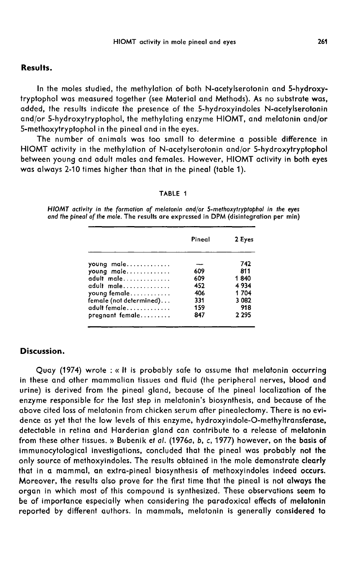#### Results.

In the moles studied, the methylation of both N-acetylserotonin and 5-hydroxytryptophol was measured together (see Material and Methods). As no substrate was, added, the results indicate the presence of the 5-hydroxyindoles N-acetylserotonin and/or 5-hydroxytryptophol, the methylating enzyme HIOMT, and melatonin and/or 5-methoxytryptophol in the pineal and in the eyes.

The number of animals was too small to determine a possible difference in HIOMT activity in the methylation of N-acetylserotonin and/or 5-hydroxytryptophol between young and adult males and females. However, HIOMT activity in both eyes was always 2-10 times higher than that in the pineal (table 1).

#### TABLE 1

HIOMT activity in the formation of melatonin and/or 5-methoxytryptophol in the eyes and the pineal of the mole. The results are expressed in DPM (disintegration per min)

| Pineal | 2 Eyes  |
|--------|---------|
|        | 742     |
| 609    | 811     |
| 609    | 1840    |
| 452    | 4934    |
| 406    | 1704    |
| 331    | 3 0 8 2 |
| 159    | 918     |
| 847    | 2 2 9 5 |
|        |         |

# Discussion.

Quay (1974) wrote : « It is probably safe to assume that melatonin occurring in these and other mammalian tissues and fluid (the peripheral nerves, blood and urine) is derived from the pineal gland, because of the pineal localization of the enzyme responsible for the last step in melatonin's biosynthesis, and because of the above cited loss of melatonin from chicken serum after pinealectomy. There is no evidence as yet that the low levels of this enzyme, hydroxyindole-O-methyltransferase, detectable in retina and Harderian gland can contribute to a release of melatonin from these other tissues. » Bubenik et al. (1976a, b, c, 1977) however, on the basis of immunocytological investigations, concluded that the pineal was probably not the only source of methoxyindoles. The results obtained in the mole demonstrate clearly that in a mammal, an extra-pineal biosynthesis of methoxyindoles indeed occurs. Moreover, the results also prove for the first time that the pineal is not always the organ in which most of this compound is synthesized. These observations seem to be of importance especially when considering the paradoxical effects of melatonin reported by different authors. In mammals, melatonin is generally considered to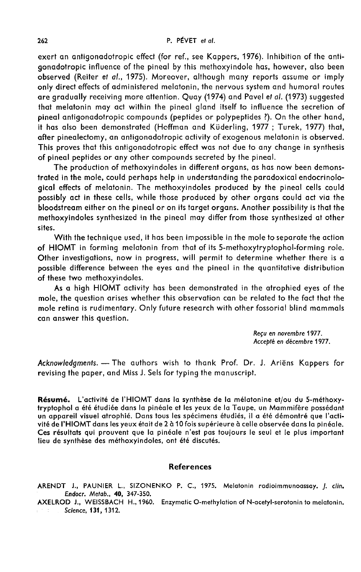exert an antigonadotropic effect (for ref., see Kappers, 1976). Inhibition of the antigonadotropic influence of the pineal by this methoxyindole has, however, also been observed (Reiter et al., 1975). Moreover, although many reports assume or imply only direct effects of administered melatonin, the nervous system and humoral routes are gradually receiving more attention. Quay (1974) and Pavel et al. (1973) suggested that melatonin may act within the pineal gland itself to influence the secretion of pineal antigonadotropic compounds (peptides or polypeptides ?). On the other hand, it has also been demonstrated (Hoffman and Küderling, 1977; Turek, 1977) that, after pinealectomy, an antigonadotropic activity of exogenous melatonin is observed. This proves that this antigonadotropic effect was not due to any change in synthesis of pineal peptides or any other compounds secreted by the pineal.

The production of methoxyindoles in different organs, as has now been demonstrated in the mole, could perhaps help in understanding the paradoxical endocrinological effects of melatonin. The methoxyindoles produced by the pineal cells could possibly act in these cells, while those produced by other organs could act via the bloodstream either on the pineal or on its target organs. Another possibility is that the methoxyindoles synthesized in the pineal may differ from those synthesized at other sites.

With the technique used, it has been impossible in the mole to separate the action of HIOMT in forming melatonin from that of its 5-methoxytryptophol-forming role. Other investigations, now in progress, will permit to determine whether there is a possible difference between the eyes and the pineal in the quantitative distribution of these two methoxyindoles.

As a high HIOMT activity has been demonstrated in the atrophied eyes of the mole, the question arises whether this observation can be related to the fact that the mole retina is rudimentary. Only future research with other fossorial blind mammals can answer this question.

> Recu en novembre 1977. Accepté en décembre 1977.

Acknowledgments. - The authors wish to thank Prof. Dr. J. Ariëns Kappers for revising the paper, and Miss J. Sels for typing the manuscript.

Résumé. L'activité de l'HIOMT dans la synthèse de la mélatonine et/ou du 5-méthoxy-<br>tryptophol a été étudiée dans la pinéale et les yeux de la Taupe, un Mammifère possédant un appareil visuel atrophié. Dans tous les spécimens étudiés, il a été démontré que l'activité de l'HIOMT dans les yeux était de 2 à 10 fois supérieure à celle observée dans la pinéale. Ces résultats qui prouvent que la pinéale n'est pas toujours le seul et le plus important lieu de synthèse des méthoxyindoles, ont été discutés.

#### References

ARENDT J., PAUNIER L., SIZONENKO P. C., 1975. Melatonin radioimmunoassay. J. clin. Endocr. Metab., 40, 347-350.

AXELROD J., WEISSBACH H., 1960. Enzymatic 0-methylation of N-acetyl-serotonin to melatonin. . Science, 131, 1312.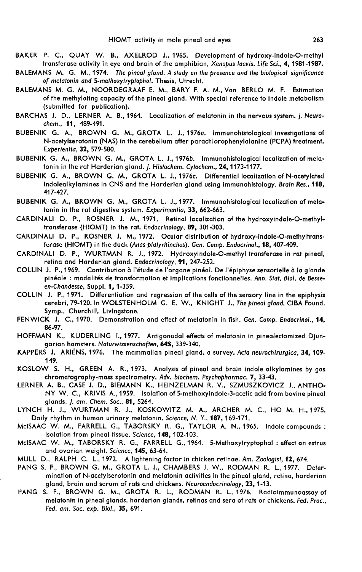- BAKER P. C., QUAY W. B., AXELROD J., 1965. Development of hydroxy-indole-O-methyl transferase activity in eye and brain of the amphibian, Xenopus laevis. Life Sci., 4, 1981-1987.
- BALEMANS M. G. M., 1974. The pineal gland. A study on the presence and the biological significance of melatonin and 5-methoxytryptophol. Thesis, Utrecht.
- BALEMANS M. G. M., NOORDEGRAAF E. M., BARY F. A. M., Van BERLO M. F. Estimation of the methylating capacity of the pineal gland. With special reference to indole metabolism (submitted for publication).
- BARCHAS J. D., LERNER A. B., 1964. Localization of melatonin in the nervous system. J. Neurochem., 11, 489-491.
- BUBENIK G. A., BROWN G. M., GROTA L. J., 1976a. lmmunohistologiccil investigations of N-acetylserotonin (NAS) in the cerebellum after parachlorophenylalanine (PCPA) treatment. Experientia, 32, 579-580.
- BUBENIK G. A., BROWN G. M., GROTA L. J., 19766. Immunohistological localization of melatonin in the rat Harderian gland. J. Histochem. Cytochem., 24, 1173-1177.
- BUBENIK G. A., BROWN G. M., GROTA L. J., 1976c. Differential localization of N-acetylated indolealkylamines in CNS and the Harderian gland using immunohistology. Brain Res., 118, 417-427.
- BUBENIK G. A., BROWN G. M., GROTA L. J., 1977. Immunohistological localization of melatonin in the rat digestive system. Experimentia, 33, 662-663.
- CARDINALI D. P., ROSNER J. M., 1971. Retinal localization of the hydroxyindole-O-methyltransferase (HIOMT) in the rat. Endocrinology, 89, 301-303.
- CARDINALI D. P., ROSNER J. M., 1972. Ocular distribution of hydroxy-indole-O-methyltransferase (HIOMT) in the duck (Anas platyrhinchos). Gen. Comp. Endocrinol., 18, 407-409.
- CARDINALI D. P., WURTMAN R. J., 1972. Hydroxyindole-O-methyl transferase in rat pineal, retina and Harderian gland. Endocrinology, 91, 247-252.
- COLLIN J. P., 1969. Contribution à l'étude de l'organe pinéal. De l'épiphyse sensorielle à la glande pinéale : modalités de transformation et implications fonctionnelles. Ann. Stat. Biol. de Besseen-Chandesse, Suppl. 1, 1-359.
- COLLIN J. P., 1971. Differentiation and regression of the cells of the sensory line in the epiphysis cerebri, 79-120. In WOLSTENHOLM G. E. W., KNIGHT J., The pineal gland, CIBA Found.<br>Symp., Churchill, Livinastone.
- FENWICK J. C., 1970. Demonstration and effect of melatonin in fish. Gen. Comp. Endocrinol., 14, 86-97.
- HOFFMAN K., KUDERLING L, 1977. Antigonadal effects of melatonin in pinealectomized Djun- garian hamsters. Naturwissenschaften, 64S, 339-340.
- KAPPERS J. ARIENS, 1976. The mammalian pineal gland, a survey. Acta neurochirurgica, 34, 109- 149.
- KOSLOW S. H., GREEN A. R., 1973. Analysis of pineal and brain indole alkylamines by gas chromatography-mass spectrometry. Adv. biochem. Psychopharmac. 7, 33-43.
- LERNER A. B., CASE J. D., BIEMANN K., HEINZELMAN R. V., SZMUSZKOVICZ J., ANTHO-NY W. C., KRIVIS A., 1959. Isolation of 5-methoxyindole-3-acetic acid from bovine pineal glands. J. am. Chem. Soc., 81, 5264.
- LYNCH H. J., WURTMAN R. J., KOSKOWITZ M. A., ARCHER M. C., HO M. H., 1975. Daily rhythm in human urinary melatonin. Science, N. Y., 187, 169-171.
- McISAAC W. M., FARRELL G., TABORSKY R. G., TAYLOR A. N., 1965. Indole compounds : LYNCH<br>Dail<sub>)</sub><br>McISAAC<br>McISAAC Isolation from pineal tissue. Science, 148, 102-103.<br>McISAAC W. M., TABORSKY R. G., FARRELL G., 1964. 5-Methoxytryptophol : effect on estrus
- and ovarian weight. Science, 145, 63-64.
- MULL D., RALPH C. L., 1972. A lightening factor in chicken retinae. Am. Zoologist, 12, 674.<br>PANG S. F., BROWN G. M., GROTA L. J., CHAMBERS J. W., RODMAN R. L., 1977. Deter-
- mination of N-acetylserotonin and melatonin activities in the pineal gland, retina, harderian<br>gland, brain and serum of rats and chickens. Neuroendocrinology, 23, 1-13.
- PANG S. F., BROWN G. M., GROTA R. L., RODMAN R. L., 1976. Radioimmunoassay of melatonin in pineal glands, harderian glands, retinas and sera of rats or chickens. Fed. Proc., Fed. am. Soc. exp. Biol., 35, 691.